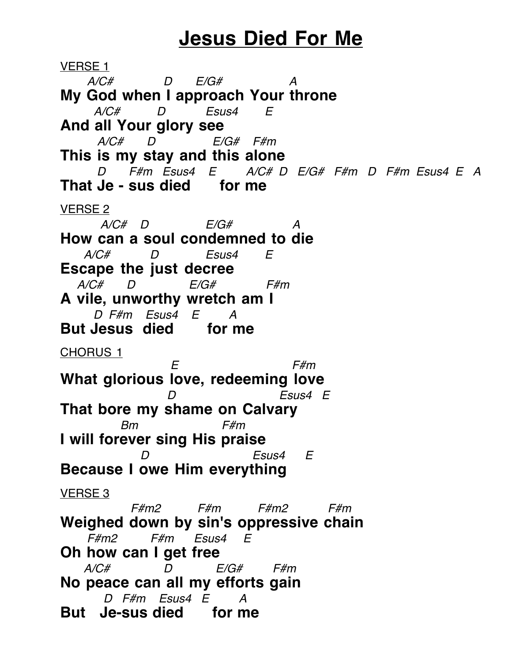## **Jesus Died For Me**

VERSE 1  $A/C\#$  D  $E/G\#$  A **My God when I approach Your throne**  $A/C\#$  D Esus4 E **And all Your glory see** A/C# D E/G# F#m **This is my stay and this alone** D F#m Esus4 E A/C# D E/G# F#m D F#m Esus4 E A **That Je - sus died for me** VERSE 2  $A/C\#$  D  $E/G\#$  A **How can a soul condemned to die**  $A/C\#$  D Esus4 E **Escape the just decree** A/C# D E/G# F#m **A vile, unworthy wretch am I** D F#m Esus4 E A **But Jesus died for me** CHORUS 1 E F#m **What glorious love, redeeming love** D Esus4 E **That bore my shame on Calvary** Bm F#m **I will forever sing His praise** Esus4 E **Because I owe Him everything** VERSE 3 F#m2 F#m F#m2 F#m **Weighed down by sin's oppressive chain** F#m2 F#m Esus4 E **Oh how can I get free**  $A/C\#$  D  $E/G\#$  F#m **No peace can all my efforts gain** D F#m Esus4 E A **But Je-sus died for me**